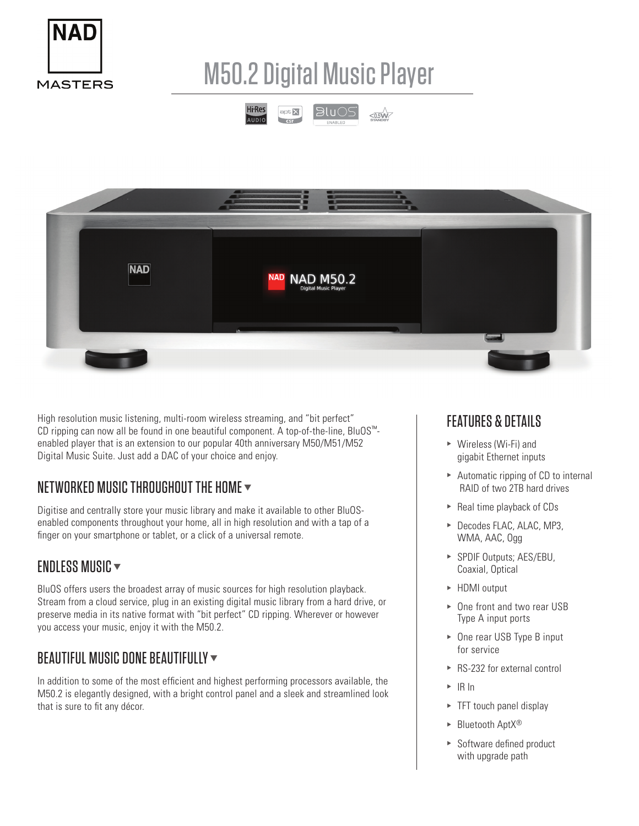

# M50.2 Digital Music Player





High resolution music listening, multi-room wireless streaming, and "bit perfect" CD ripping can now all be found in one beautiful component. A top-of-the-line, BluOS™ enabled player that is an extension to our popular 40th anniversary M50/M51/M52 Digital Music Suite. Just add a DAC of your choice and enjoy.

## NETWORKED MUSIC THROUGHOUT THE HOME  $\blacktriangledown$

Digitise and centrally store your music library and make it available to other BluOSenabled components throughout your home, all in high resolution and with a tap of a finger on your smartphone or tablet, or a click of a universal remote.

#### ENDLESS MUSIC  $\blacktriangledown$

BluOS offers users the broadest array of music sources for high resolution playback. Stream from a cloud service, plug in an existing digital music library from a hard drive, or preserve media in its native format with "bit perfect" CD ripping. Wherever or however you access your music, enjoy it with the M50.2.

## BEAUTIFUL MUSIC DONE BEAUTIFULLY  $\blacktriangledown$

In addition to some of the most efficient and highest performing processors available, the M50.2 is elegantly designed, with a bright control panel and a sleek and streamlined look that is sure to fit any décor.

### FEATURES & DETAILS

- $\triangleright$  Wireless (Wi-Fi) and gigabit Ethernet inputs
- $\triangleright$  Automatic ripping of CD to internal RAID of two 2TB hard drives
- $\blacktriangleright$  Real time playback of CDs
- ▶ Decodes FLAC, ALAC, MP3, WMA, AAC, Ogg
- ▶ SPDIF Outputs; AES/EBU, Coaxial, Optical
- ▶ HDMI output
- ▶ One front and two rear USB Type A input ports
- $\triangleright$  One rear USB Type B input for service
- $\triangleright$  RS-232 for external control
- $\triangleright$  IR In
- $\triangleright$  TFT touch panel display
- $\blacktriangleright$  Bluetooth Apt $X^{\circledR}$
- $\triangleright$  Software defined product with upgrade path